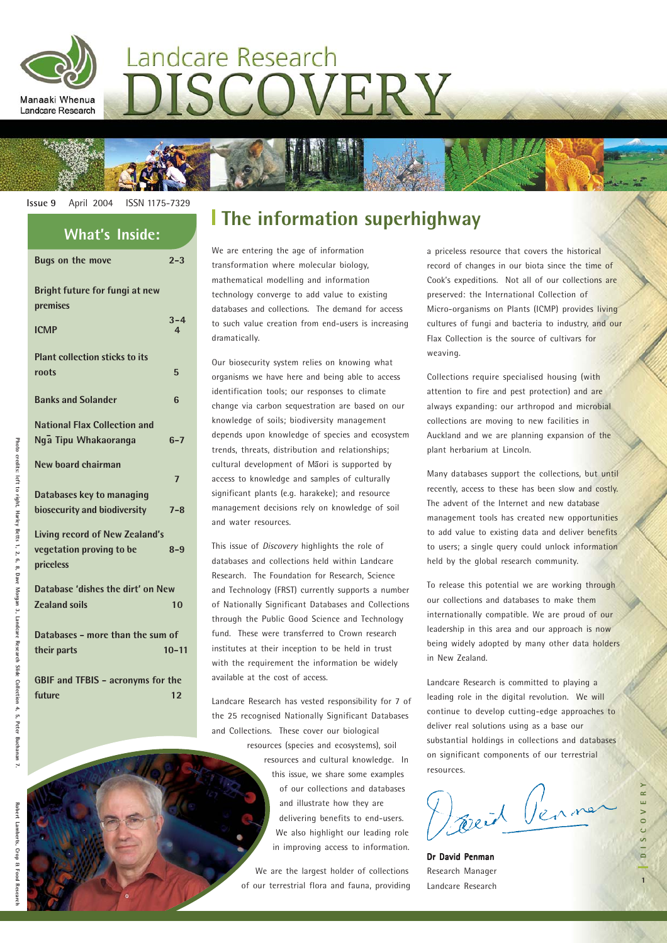

# Landcare Research ISCOVERY



**Bugs on the move 2-3**

| טווי ווט נווע                                               |                           |
|-------------------------------------------------------------|---------------------------|
| Bright future for fungi at new<br>premises                  |                           |
| <b>ICMP</b>                                                 | $3 - 4$<br>$\overline{4}$ |
| <b>Plant collection sticks to its</b><br>roots              | 5                         |
| <b>Banks and Solander</b>                                   | 6                         |
| <b>National Flax Collection and</b><br>Nga Tipu Whakaoranga | $6 - 7$                   |
| New board chairman                                          | $\overline{7}$            |
| Databases key to managing                                   |                           |
| biosecurity and biodiversity                                | $7 - 8$                   |
| <b>Living record of New Zealand's</b>                       |                           |
| vegetation proving to be<br>priceless                       | $8 - 9$                   |
| Database 'dishes the dirt' on New                           |                           |
| <b>Zealand soils</b>                                        | 10                        |
| Databases - more than the sum of                            |                           |
| their parts                                                 | $10 - 11$                 |
| <b>GBIF and TFBIS - acronyms for the</b>                    |                           |
| future                                                      | 12                        |

## **The information superhighway What's Inside:**

We are entering the age of information transformation where molecular biology, mathematical modelling and information technology converge to add value to existing databases and collections. The demand for access to such value creation from end-users is increasing dramatically.

Our biosecurity system relies on knowing what organisms we have here and being able to access identification tools; our responses to climate change via carbon sequestration are based on our knowledge of soils; biodiversity management depends upon knowledge of species and ecosystem trends, threats, distribution and relationships; cultural development of Maori is supported by access to knowledge and samples of culturally significant plants (e.g. harakeke); and resource management decisions rely on knowledge of soil and water resources.

This issue of *Discovery* highlights the role of databases and collections held within Landcare Research. The Foundation for Research, Science and Technology (FRST) currently supports a number of Nationally Significant Databases and Collections through the Public Good Science and Technology fund. These were transferred to Crown research institutes at their inception to be held in trust with the requirement the information be widely available at the cost of access.

Landcare Research has vested responsibility for 7 of the 25 recognised Nationally Significant Databases and Collections. These cover our biological

> resources (species and ecosystems), soil resources and cultural knowledge. In this issue, we share some examples of our collections and databases and illustrate how they are delivering benefits to end-users. We also highlight our leading role in improving access to information.

We are the largest holder of collections of our terrestrial flora and fauna, providing a priceless resource that covers the historical record of changes in our biota since the time of Cook's expeditions. Not all of our collections are preserved: the International Collection of Micro-organisms on Plants (ICMP) provides living cultures of fungi and bacteria to industry, and our Flax Collection is the source of cultivars for weaving.

Collections require specialised housing (with attention to fire and pest protection) and are always expanding: our arthropod and microbial collections are moving to new facilities in Auckland and we are planning expansion of the plant herbarium at Lincoln.

Many databases support the collections, but until recently, access to these has been slow and costly. The advent of the Internet and new database management tools has created new opportunities to add value to existing data and deliver benefits to users; a single query could unlock information held by the global research community.

To release this potential we are working through our collections and databases to make them internationally compatible. We are proud of our leadership in this area and our approach is now being widely adopted by many other data holders in New Zealand.

Landcare Research is committed to playing a leading role in the digital revolution. We will continue to develop cutting-edge approaches to deliver real solutions using as a base our substantial holdings in collections and databases on significant components of our terrestrial resources.

Doncid Penner

Dr David Penman Research Manager Landcare Research

Collection

Photo

credits: left to right, Harley Betts 1, 2, 6, 8, Dave Morgan 3, Landcare Research Slide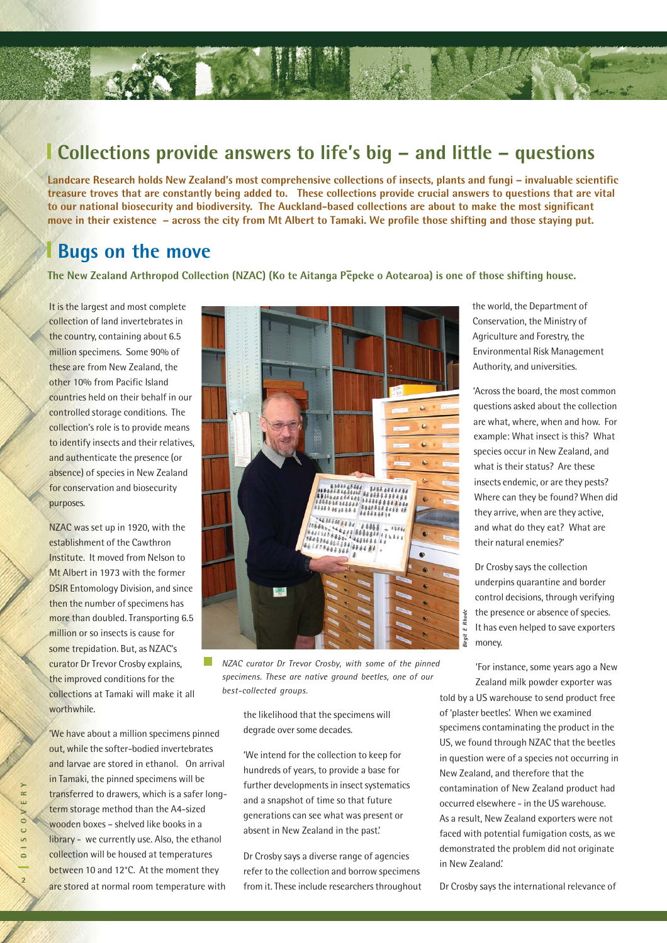### **Collections provide answers to life's big – and little – questions**

**Landcare Research holds New Zealand's most comprehensive collections of insects, plants and fungi – invaluable scientific treasure troves that are constantly being added to. These collections provide crucial answers to questions that are vital to our national biosecurity and biodiversity. The Auckland-based collections are about to make the most significant move in their existence – across the city from Mt Albert to Tamaki. We profile those shifting and those staying put.**

### **Bugs on the move**

The New Zealand Arthropod Collection (NZAC) (Ko te Aitanga Pė̃peke o Aotearoa) is one of those shifting house.

It is the largest and most complete collection of land invertebrates in the country, containing about 6.5 million specimens. Some 90% of these are from New Zealand, the other 10% from Pacific Island countries held on their behalf in our controlled storage conditions. The collection's role is to provide means to identify insects and their relatives, and authenticate the presence (or absence) of species in New Zealand for conservation and biosecurity purposes.

NZAC was set up in 1920, with the establishment of the Cawthron Institute. It moved from Nelson to Mt Albert in 1973 with the former DSIR Entomology Division, and since then the number of specimens has more than doubled. Transporting 6.5 million or so insects is cause for some trepidation. But, as NZAC's curator Dr Trevor Crosby explains, the improved conditions for the collections at Tamaki will make it all worthwhile.

'We have about a million specimens pinned out, while the softer-bodied invertebrates and larvae are stored in ethanol. On arrival in Tamaki, the pinned specimens will be transferred to drawers, which is a safer longterm storage method than the A4-sized wooden boxes – shelved like books in a library - we currently use. Also, the ethanol collection will be housed at temperatures between 10 and 12°C. At the moment they are stored at normal room temperature with



*NZAC curator Dr Trevor Crosby, with some of the pinned specimens. These are native ground beetles, one of our best-collected groups.*

the likelihood that the specimens will degrade over some decades.

'We intend for the collection to keep for hundreds of years, to provide a base for further developments in insect systematics and a snapshot of time so that future generations can see what was present or absent in New Zealand in the past.'

Dr Crosby says a diverse range of agencies refer to the collection and borrow specimens from it. These include researchers throughout the world, the Department of Conservation, the Ministry of Agriculture and Forestry, the Environmental Risk Management Authority, and universities.

'Across the board, the most common questions asked about the collection are what, where, when and how. For example: What insect is this? What species occur in New Zealand, and what is their status? Are these insects endemic, or are they pests? Where can they be found? When did they arrive, when are they active, and what do they eat? What are their natural enemies?'

Dr Crosby says the collection underpins quarantine and border control decisions, through verifying the presence or absence of species. It has even helped to save exporters money.

'For instance, some years ago a New Zealand milk powder exporter was

told by a US warehouse to send product free of 'plaster beetles'. When we examined specimens contaminating the product in the US, we found through NZAC that the beetles in question were of a species not occurring in New Zealand, and therefore that the contamination of New Zealand product had occurred elsewhere - in the US warehouse. As a result, New Zealand exporters were not faced with potential fumigation costs, as we demonstrated the problem did not originate in New Zealand.' From the presence or absence of species.<br>
It has even helped to save exporters<br>
From the international relation of the callend milk powder exporter was<br>
told by a US warehouse to send product free<br>
of 'plaster beetles'. Wh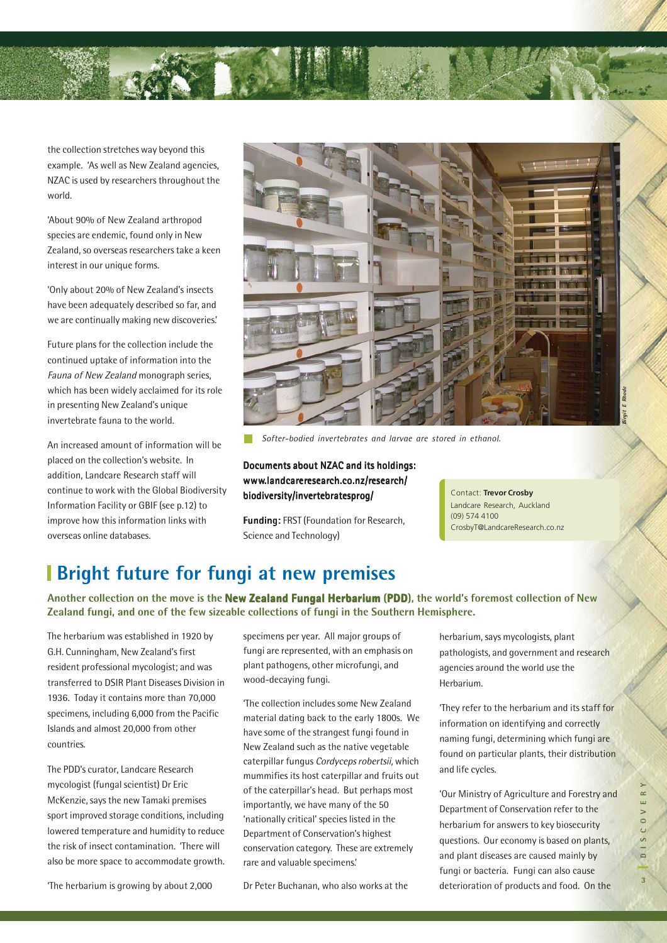

the collection stretches way beyond this example. 'As well as New Zealand agencies, NZAC is used by researchers throughout the world.

'About 90% of New Zealand arthropod species are endemic, found only in New Zealand, so overseas researchers take a keen interest in our unique forms.

'Only about 20% of New Zealand's insects have been adequately described so far, and we are continually making new discoveries.'

Future plans for the collection include the continued uptake of information into the Fauna of New Zealand monograph series, which has been widely acclaimed for its role in presenting New Zealand's unique invertebrate fauna to the world.

An increased amount of information will be placed on the collection's website. In addition, Landcare Research staff will continue to work with the Global Biodiversity Information Facility or GBIF (see p.12) to improve how this information links with overseas online databases.



*Softer-bodied invertebrates and larvae are stored in ethanol.*

Documents about NZAC and its holdings: www.landcareresearch.co.nz/research/ biodiversity/invertebratesprog/

Funding: FRST (Foundation for Research, Science and Technology)

Contact: **Trevor Crosby** Landcare Research, Auckland Landcare Research, Auckland  $(69)$   $(100)$ EasonC@LandcareResearch.co.nz CrosbyT@LandcareResearch.co.nz (09) 574 4100

### **Bright future for fungi at new premises**

Another collection on the move is the **New Zealand Fungal Herbarium (PDD)**, the world's foremost collection of New **Zealand fungi, and one of the few sizeable collections of fungi in the Southern Hemisphere.**

The herbarium was established in 1920 by G.H. Cunningham, New Zealand's first resident professional mycologist; and was transferred to DSIR Plant Diseases Division in 1936. Today it contains more than 70,000 specimens, including 6,000 from the Pacific Islands and almost 20,000 from other countries.

The PDD's curator, Landcare Research mycologist (fungal scientist) Dr Eric McKenzie, says the new Tamaki premises sport improved storage conditions, including lowered temperature and humidity to reduce the risk of insect contamination. 'There will also be more space to accommodate growth.

'The herbarium is growing by about 2,000

specimens per year. All major groups of fungi are represented, with an emphasis on plant pathogens, other microfungi, and wood-decaying fungi.

'The collection includes some New Zealand material dating back to the early 1800s. We have some of the strangest fungi found in New Zealand such as the native vegetable caterpillar fungus Cordyceps robertsii, which mummifies its host caterpillar and fruits out of the caterpillar's head. But perhaps most importantly, we have many of the 50 'nationally critical' species listed in the Department of Conservation's highest conservation category. These are extremely rare and valuable specimens.'

Dr Peter Buchanan, who also works at the

herbarium, says mycologists, plant pathologists, and government and research agencies around the world use the Herbarium.

'They refer to the herbarium and its staff for information on identifying and correctly naming fungi, determining which fungi are found on particular plants, their distribution and life cycles.

'Our Ministry of Agriculture and Forestry and Department of Conservation refer to the herbarium for answers to key biosecurity questions. Our economy is based on plants, and plant diseases are caused mainly by fungi or bacteria. Fungi can also cause deterioration of products and food. On the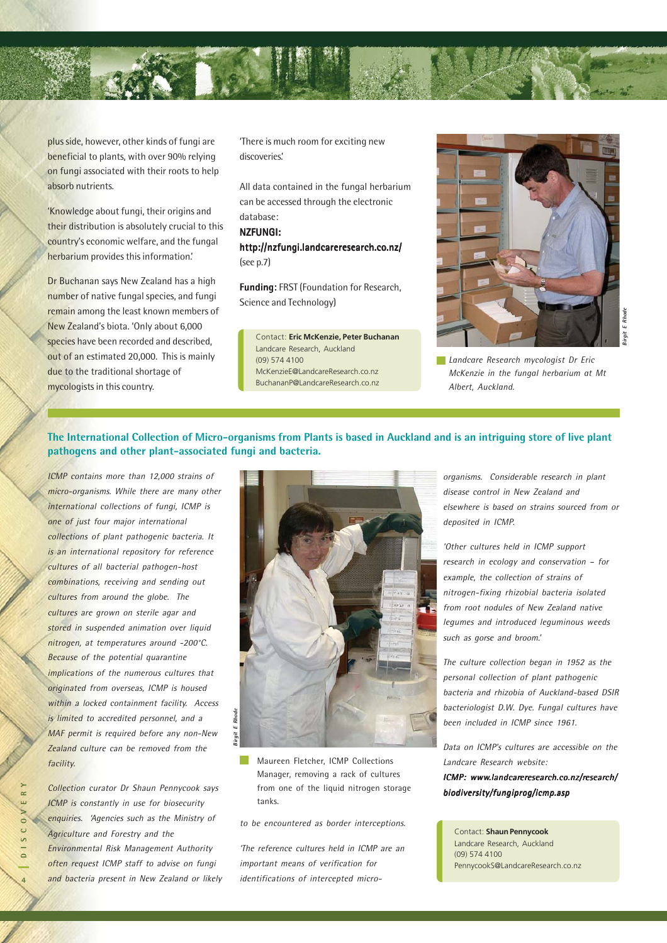

plus side, however, other kinds of fungi are beneficial to plants, with over 90% relying on fungi associated with their roots to help absorb nutrients.

'Knowledge about fungi, their origins and their distribution is absolutely crucial to this country's economic welfare, and the fungal herbarium provides this information.'

Dr Buchanan says New Zealand has a high number of native fungal species, and fungi remain among the least known members of New Zealand's biota. 'Only about 6,000 species have been recorded and described, out of an estimated 20,000. This is mainly due to the traditional shortage of mycologists in this country.

'There is much room for exciting new discoveries.'

All data contained in the fungal herbarium can be accessed through the electronic database:

### NZFUNGI:

http://nzfungi.landcareresearch.co.nz/ http://nzfungi.landcareresearch.co.nz/ (see p.7)

Funding: FRST (Foundation for Research, Science and Technology)

Contact: **Eric McKenzie, Peter Buchanan** Landcare Research, Auckland (09) 574 4100 McKenzieE@LandcareResearch.co.nz BuchananP@LandcareResearch.co.nz



*Landcare Research mycologist Dr Eric McKenzie in the fungal herbarium at Mt Albert, Auckland.*

### **The International Collection of Micro-organisms from Plants is based in Auckland and is an intriguing store of live plant pathogens and other plant-associated fungi and bacteria.**

ICMP contains more than 12,000 strains of micro-organisms. While there are many other international collections of fungi, ICMP is one of just four major international collections of plant pathogenic bacteria. It is an international repository for reference cultures of all bacterial pathogen-host combinations, receiving and sending out cultures from around the globe. The cultures are grown on sterile agar and stored in suspended animation over liquid nitrogen, at temperatures around -200°C. Because of the potential quarantine implications of the numerous cultures that originated from overseas, ICMP is housed within a locked containment facility. Access is limited to accredited personnel, and a MAF permit is required before any non-New Zealand culture can be removed from the facility.

Collection curator Dr Shaun Pennycook says ICMP is constantly in use for biosecurity enquiries. 'Agencies such as the Ministry of Agriculture and Forestry and the Environmental Risk Management Authority often request ICMP staff to advise on fungi and bacteria present in New Zealand or likely



Maureen Fletcher, ICMP Collections Manager, removing a rack of cultures from one of the liquid nitrogen storage tanks.

to be encountered as border interceptions.

'The reference cultures held in ICMP are an important means of verification for identifications of intercepted microorganisms. Considerable research in plant disease control in New Zealand and elsewhere is based on strains sourced from or deposited in ICMP.

'Other cultures held in ICMP support research in ecology and conservation – for example, the collection of strains of nitrogen-fixing rhizobial bacteria isolated from root nodules of New Zealand native legumes and introduced leguminous weeds such as gorse and broom.'

The culture collection began in 1952 as the personal collection of plant pathogenic bacteria and rhizobia of Auckland-based DSIR bacteriologist D.W. Dye. Fungal cultures have been included in ICMP since 1961.

Data on ICMP's cultures are accessible on the Landcare Research website: ICMP: www.landcareresearch.co.nz/research/

biodiversity/fungiprog/icmp.asp

Contact: **Shaun Pennycook** Landcare Research, Auckland (09) 574 4100 PennycookS@LandcareResearch.co.nz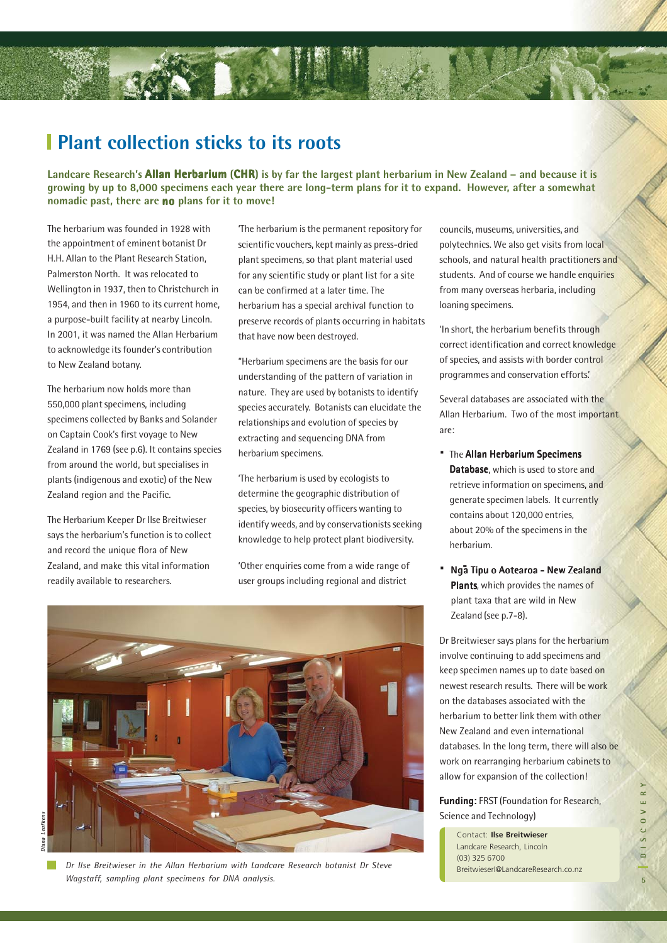### **Plant collection sticks to its roots**

Landcare Research's **Allan Herbarium (CHR)** is by far the largest plant herbarium in New Zealand – and because it is **growing by up to 8,000 specimens each year there are long-term plans for it to expand. However, after a somewhat nomadic past, there are no plans for it to move!**

The herbarium was founded in 1928 with the appointment of eminent botanist Dr H.H. Allan to the Plant Research Station, Palmerston North. It was relocated to Wellington in 1937, then to Christchurch in 1954, and then in 1960 to its current home, a purpose-built facility at nearby Lincoln. In 2001, it was named the Allan Herbarium to acknowledge its founder's contribution to New Zealand botany.

The herbarium now holds more than 550,000 plant specimens, including specimens collected by Banks and Solander on Captain Cook's first voyage to New Zealand in 1769 (see p.6). It contains species from around the world, but specialises in plants (indigenous and exotic) of the New Zealand region and the Pacific.

The Herbarium Keeper Dr Ilse Breitwieser says the herbarium's function is to collect and record the unique flora of New Zealand, and make this vital information readily available to researchers.

'The herbarium is the permanent repository for scientific vouchers, kept mainly as press-dried plant specimens, so that plant material used for any scientific study or plant list for a site can be confirmed at a later time. The herbarium has a special archival function to preserve records of plants occurring in habitats that have now been destroyed.

"Herbarium specimens are the basis for our understanding of the pattern of variation in nature. They are used by botanists to identify species accurately. Botanists can elucidate the relationships and evolution of species by extracting and sequencing DNA from herbarium specimens.

'The herbarium is used by ecologists to determine the geographic distribution of species, by biosecurity officers wanting to identify weeds, and by conservationists seeking knowledge to help protect plant biodiversity.

'Other enquiries come from a wide range of user groups including regional and district



**Diana Leufkens**liana

*Dr Ilse Breitwieser in the Allan Herbarium with Landcare Research botanist Dr Steve Wagstaff, sampling plant specimens for DNA analysis.*

councils, museums, universities, and polytechnics. We also get visits from local schools, and natural health practitioners and students. And of course we handle enquiries from many overseas herbaria, including loaning specimens.

'In short, the herbarium benefits through correct identification and correct knowledge of species, and assists with border control programmes and conservation efforts.'

Several databases are associated with the Allan Herbarium. Two of the most important are:

- · The Allan Herbarium Specimens Database, which is used to store and retrieve information on specimens, and generate specimen labels. It currently contains about 120,000 entries, about 20% of the specimens in the herbarium.
- · Nga Tipu o Aotearoa New Zealand Plants, which provides the names of plant taxa that are wild in New Zealand (see p.7-8).

Dr Breitwieser says plans for the herbarium involve continuing to add specimens and keep specimen names up to date based on newest research results. There will be work on the databases associated with the herbarium to better link them with other New Zealand and even international databases. In the long term, there will also be work on rearranging herbarium cabinets to allow for expansion of the collection!

Funding: FRST (Foundation for Research, Science and Technology)

Contact: **Ilse Breitwieser** Landcare Research, Lincoln (03) 325 6700 BreitwieserI@LandcareResearch.co.nz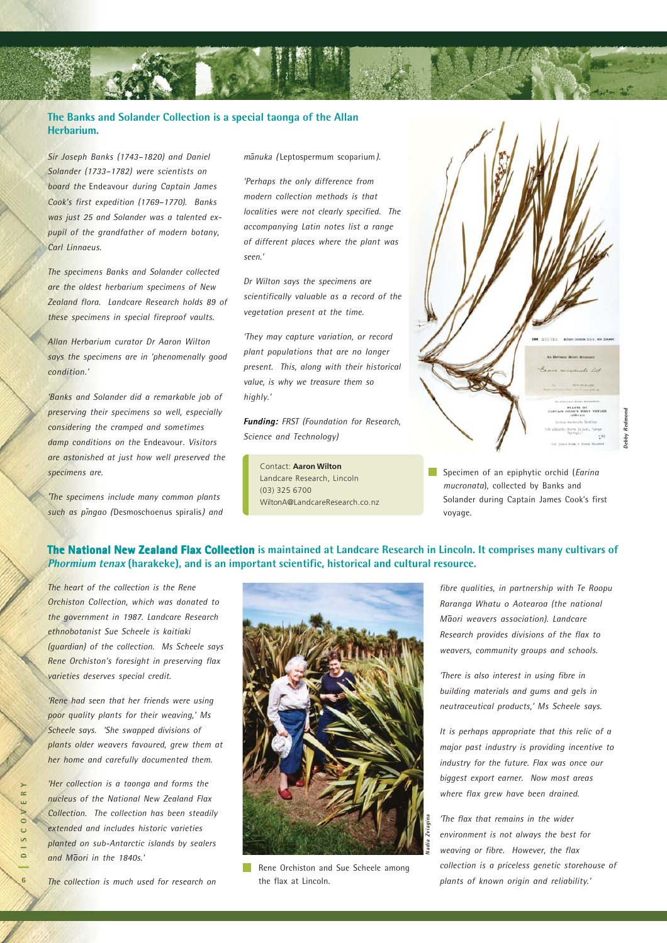### **The Banks and Solander Collection is a special taonga of the Allan Herbarium.**

*Sir Joseph Banks (1743–1820) and Daniel Solander (1733–1782) were scientists on board the* Endeavour *during Captain James Cook's first expedition (1769–1770). Banks was just 25 and Solander was a talented expupil of the grandfather of modern botany, Carl Linnaeus.*

*The specimens Banks and Solander collected are the oldest herbarium specimens of New Zealand flora. Landcare Research holds 89 of these specimens in special fireproof vaults.*

*Allan Herbarium curator Dr Aaron Wilton says the specimens are in 'phenomenally good condition.'*

*'Banks and Solander did a remarkable job of preserving their specimens so well, especially considering the cramped and sometimes damp conditions on the* Endeavour*. Visitors are astonished at just how well preserved the specimens are.*

*'The specimens include many common plants such as pingao* (Desmoschoenus spiralis) *and* - *mānuka (* Leptospermum scoparium*)*.

*'Perhaps the only difference from modern collection methods is that localities were not clearly specified. The accompanying Latin notes list a range of different places where the plant was seen.'*

*Dr Wilton says the specimens are scientifically valuable as a record of the vegetation present at the time.*

*'They may capture variation, or record plant populations that are no longer present. This, along with their historical value, is why we treasure them so highly.'*

Funding: *FRST (Foundation for Research, Science and Technology)*

Contact: **Aaron Wilton** Landcare Research, Lincoln (03) 325 6700 WiltonA@LandcareResearch.co.nz

Specimen of an epiphytic orchid (*Earina mucronata*), collected by Banks and Solander during Captain James Cook's first voyage.

**Debby Redmond**

Redm **Jebby** 

### **The National New Zealand Flax Collection** is maintained at Landcare Research in Lincoln. It comprises many cultivars of **Phormium tenax (harakeke), and is an important scientific, historical and cultural resource.**

*The heart of the collection is the Rene Orchiston Collection, which was donated to the government in 1987. Landcare Research ethnobotanist Sue Scheele is kaitiaki (guardian) of the collection. Ms Scheele says Rene Orchiston's foresight in preserving flax varieties deserves special credit.*

*'Rene had seen that her friends were using poor quality plants for their weaving,' Ms Scheele says. 'She swapped divisions of plants older weavers favoured, grew them at her home and carefully documented them.*

*'Her collection is a taonga and forms the nucleus of the National New Zealand Flax Collection. The collection has been steadily extended and includes historic varieties planted on sub-Antarctic islands by sealers and M-aori in the 1840s.'*

**6DISCOVERY**

 $\overline{c}$  $\mathbf{v}$  $\overline{\phantom{0}}$ 

 $\alpha$ 



Rene Orchiston and Sue Scheele among the flax at Lincoln.

*fibre qualities, in partnership with Te Roopu Raranga Whatu o Aotearoa (the national M-aori weavers association). Landcare Research provides divisions of the flax to weavers, community groups and schools.*

*'There is also interest in using fibre in building materials and gums and gels in neutraceutical products,' Ms Scheele says.*

*It is perhaps appropriate that this relic of a major past industry is providing incentive to industry for the future. Flax was once our biggest export earner. Now most areas where flax grew have been drained.*

*'The flax that remains in the wider environment is not always the best for weaving or fibre. However, the flax collection is a priceless genetic storehouse of plants of known origin and reliability.'*

*The collection is much used for research on*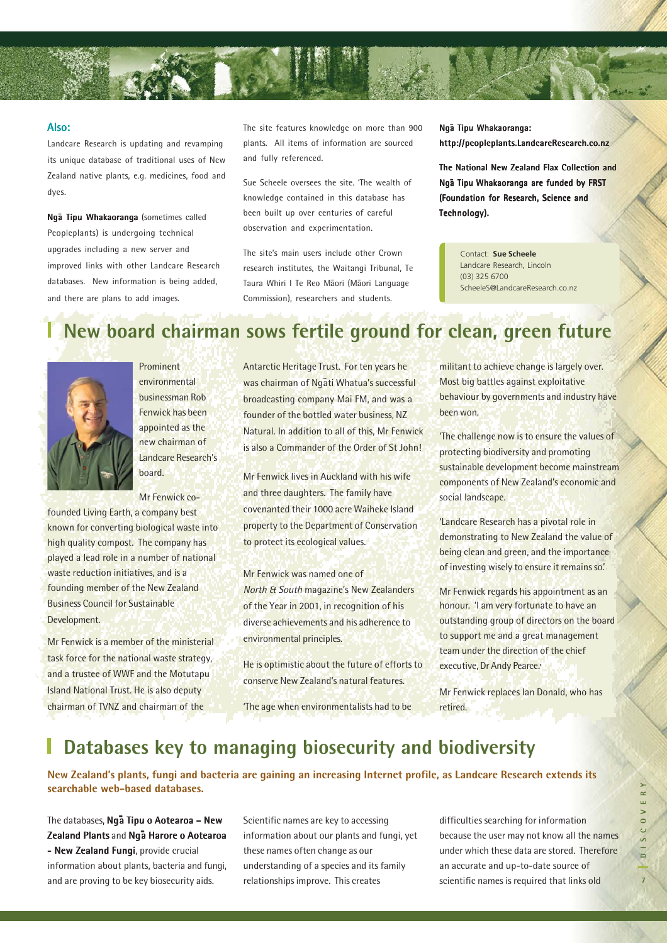

#### Also:

Landcare Research is updating and revamping its unique database of traditional uses of New Zealand native plants, e.g. medicines, food and dyes.

Nga Tipu Whakaoranga (sometimes called Peopleplants) is undergoing technical upgrades including a new server and improved links with other Landcare Research databases. New information is being added, and there are plans to add images.

The site features knowledge on more than 900 plants. All items of information are sourced and fully referenced.

Sue Scheele oversees the site. 'The wealth of knowledge contained in this database has been built up over centuries of careful observation and experimentation.

The site's main users include other Crown research institutes, the Waitangi Tribunal, Te Taura Whiri I Te Reo Māori (Māori Language Commission), researchers and students.

Ngā Tipu Whakaoranga: http://peopleplants.LandcareResearch.co.nz

The National New Zealand Flax Collection and Ngā Tipu Whakaoranga are funded by FRST (Foundation for Research, Science and Technology).

> Contact: **Sue Scheele** Landcare Research, Lincoln (03) 325 6700 ScheeleS@LandcareResearch.co.nz

## **New board chairman sows fertile ground for clean, green future**



Prominent environmental businessman Rob Fenwick has been appointed as the new chairman of Landcare Research's board.

Mr Fenwick cofounded Living Earth, a company best known for converting biological waste into high quality compost. The company has played a lead role in a number of national waste reduction initiatives, and is a founding member of the New Zealand Business Council for Sustainable Development.

Mr Fenwick is a member of the ministerial task force for the national waste strategy, and a trustee of WWF and the Motutapu Island National Trust. He is also deputy chairman of TVNZ and chairman of the

Antarctic Heritage Trust. For ten years he was chairman of Ngati Whatua's successful broadcasting company Mai FM, and was a founder of the bottled water business, NZ Natural. In addition to all of this, Mr Fenwick is also a Commander of the Order of St John!

Mr Fenwick lives in Auckland with his wife and three daughters. The family have covenanted their 1000 acre Waiheke Island property to the Department of Conservation to protect its ecological values.

Mr Fenwick was named one of North & South magazine's New Zealanders of the Year in 2001, in recognition of his diverse achievements and his adherence to environmental principles.

He is optimistic about the future of efforts to conserve New Zealand's natural features.

'The age when environmentalists had to be

militant to achieve change is largely over. Most big battles against exploitative behaviour by governments and industry have been won.

'The challenge now is to ensure the values of protecting biodiversity and promoting sustainable development become mainstream components of New Zealand's economic and social landscape.

'Landcare Research has a pivotal role in demonstrating to New Zealand the value of being clean and green, and the importance of investing wisely to ensure it remains so.'

Mr Fenwick regards his appointment as an honour. 'I am very fortunate to have an outstanding group of directors on the board to support me and a great management team under the direction of the chief executive, Dr Andy Pearce.'

Mr Fenwick replaces Ian Donald, who has retired.

### **Databases key to managing biosecurity and biodiversity**

**New Zealand's plants, fungi and bacteria are gaining an increasing Internet profile, as Landcare Research extends its searchable web-based databases.**

The databases, **Nga Tipu o Aotearoa – New** .<br>Zealand Plants and Nga Harore o Aotearoa - New Zealand Fungi, provide crucial information about plants, bacteria and fungi, and are proving to be key biosecurity aids.

Scientific names are key to accessing information about our plants and fungi, yet these names often change as our understanding of a species and its family relationships improve. This creates

difficulties searching for information because the user may not know all the names under which these data are stored. Therefore an accurate and up-to-date source of scientific names is required that links old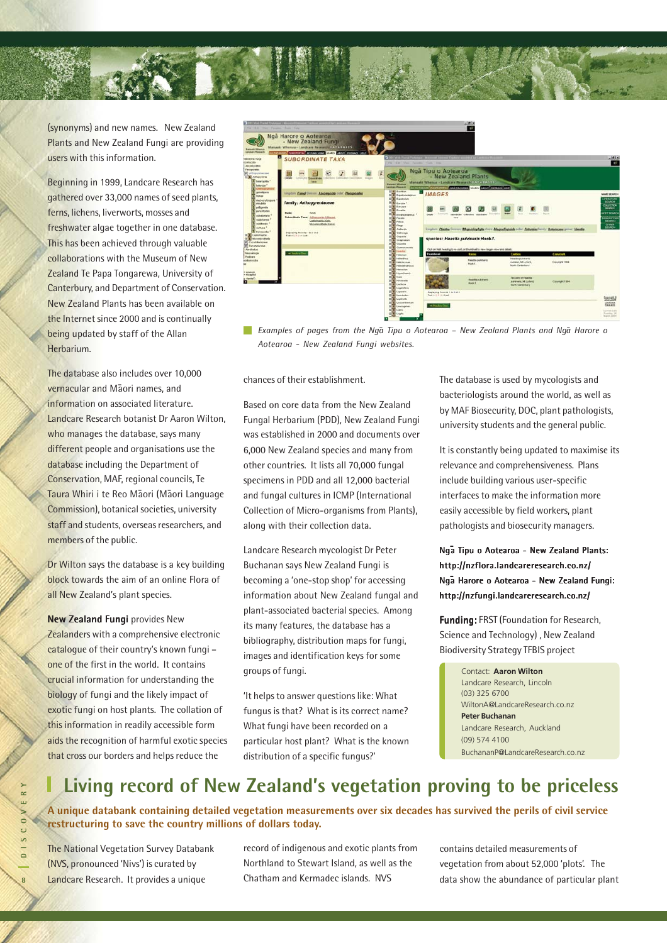

(synonyms) and new names. New Zealand Plants and New Zealand Fungi are providing users with this information.

Beginning in 1999, Landcare Research has gathered over 33,000 names of seed plants, ferns, lichens, liverworts, mosses and freshwater algae together in one database. This has been achieved through valuable collaborations with the Museum of New Zealand Te Papa Tongarewa, University of Canterbury, and Department of Conservation. New Zealand Plants has been available on the Internet since 2000 and is continually being updated by staff of the Allan Herbarium.

The database also includes over 10,000 <mark>vernacular and Māori names, and</mark> information on associated literature. Landcare Research botanist Dr Aaron Wilton, who manages the database, says many different people and organisations use the database including the Department of Conservation, MAF, regional councils, Te Taura Whiri i te Reo Māori (Māori Language Commission), botanical societies, university staff and students, overseas researchers, and members of the public.

Dr Wilton says the database is a key building block towards the aim of an online Flora of all New Zealand's plant species.

New Zealand Fungi provides New Zealanders with a comprehensive electronic catalogue of their country's known fungi one of the first in the world. It contains crucial information for understanding the biology of fungi and the likely impact of exotic fungi on host plants. The collation of this information in readily accessible form aids the recognition of harmful exotic species that cross our borders and helps reduce the



*Examples of pages from the Ng-a Tipu o Aotearoa – New Zealand Plants and Ng-a Harore o Aotearoa - New Zealand Fungi websites.*

chances of their establishment.

Based on core data from the New Zealand Fungal Herbarium (PDD), New Zealand Fungi was established in 2000 and documents over 6,000 New Zealand species and many from other countries. It lists all 70,000 fungal specimens in PDD and all 12,000 bacterial and fungal cultures in ICMP (International Collection of Micro-organisms from Plants), along with their collection data.

Landcare Research mycologist Dr Peter Buchanan says New Zealand Fungi is becoming a 'one-stop shop' for accessing information about New Zealand fungal and plant-associated bacterial species. Among its many features, the database has a bibliography, distribution maps for fungi, images and identification keys for some groups of fungi.

'It helps to answer questions like: What fungus is that? What is its correct name? What fungi have been recorded on a particular host plant? What is the known distribution of a specific fungus?'

The database is used by mycologists and bacteriologists around the world, as well as by MAF Biosecurity, DOC, plant pathologists, university students and the general public.

It is constantly being updated to maximise its relevance and comprehensiveness. Plans include building various user-specific interfaces to make the information more easily accessible by field workers, plant pathologists and biosecurity managers.

Ngā Tipu o Aotearoa - New Zealand Plants: http://nzflora.landcareresearch.co.nz/ Ng-a Harore o Aotearoa - New Zealand Harore o Zealand Fungi: http://nzfungi.landcareresearch.co.nz/

Funding: FRST (Foundation for Research, Science and Technology) , New Zealand Biodiversity Strategy TFBIS project

> Contact: **Aaron Wilton** Landcare Research, Lincoln (03) 325 6700 WiltonA@LandcareResearch.co.nz **Peter Buchanan** Landcare Research, Auckland (09) 574 4100 BuchananP@LandcareResearch.co.nz

### **Living record of New Zealand's vegetation proving to be priceless**

**A unique databank containing detailed vegetation measurements over six decades has survived the perils of civil service restructuring to save the country millions of dollars today.**

The National Vegetation Survey Databank (NVS, pronounced 'Nivs') is curated by Landcare Research. It provides a unique

record of indigenous and exotic plants from Northland to Stewart Island, as well as the Chatham and Kermadec islands. NVS

contains detailed measurements of vegetation from about 52,000 'plots'. The data show the abundance of particular plant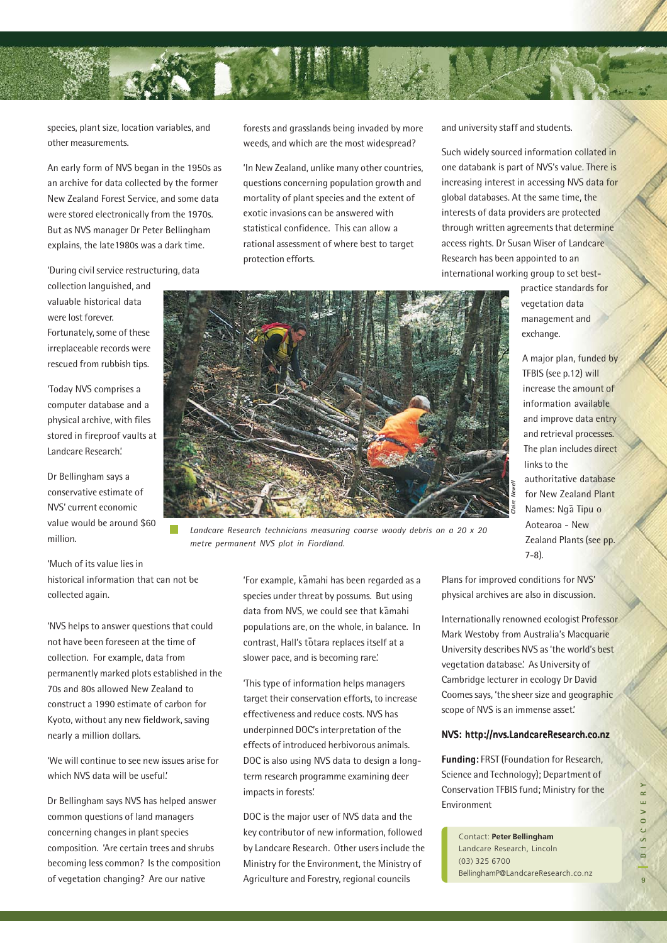

species, plant size, location variables, and other measurements.

An early form of NVS began in the 1950s as an archive for data collected by the former New Zealand Forest Service, and some data were stored electronically from the 1970s. But as NVS manager Dr Peter Bellingham explains, the late1980s was a dark time.

'During civil service restructuring, data

collection languished, and valuable historical data were lost forever. Fortunately, some of these irreplaceable records were rescued from rubbish tips.

'Today NVS comprises a computer database and a physical archive, with files stored in fireproof vaults at Landcare Research.'

Dr Bellingham says a conservative estimate of NVS' current economic value would be around \$60 million.

'Much of its value lies in historical information that can not be collected again.

'NVS helps to answer questions that could not have been foreseen at the time of collection. For example, data from permanently marked plots established in the 70s and 80s allowed New Zealand to construct a 1990 estimate of carbon for Kyoto, without any new fieldwork, saving nearly a million dollars.

'We will continue to see new issues arise for which NVS data will be useful.'

Dr Bellingham says NVS has helped answer common questions of land managers concerning changes in plant species composition. 'Are certain trees and shrubs becoming less common? Is the composition of vegetation changing? Are our native

forests and grasslands being invaded by more weeds, and which are the most widespread?

'In New Zealand, unlike many other countries, questions concerning population growth and mortality of plant species and the extent of exotic invasions can be answered with statistical confidence. This can allow a rational assessment of where best to target protection efforts.

and university staff and students.

Such widely sourced information collated in one databank is part of NVS's value. There is increasing interest in accessing NVS data for global databases. At the same time, the interests of data providers are protected through written agreements that determine access rights. Dr Susan Wiser of Landcare Research has been appointed to an international working group to set best-

> practice standards for vegetation data management and exchange.

A major plan, funded by TFBIS (see p.12) will increase the amount of information available and improve data entry and retrieval processes. The plan includes direct links to the authoritative database for New Zealand Plant Names: Nga Tipu o Aotearoa - New Zealand Plants (see pp. 7-8).



*Landcare Research technicians measuring coarse woody debris on a 20 x 20 metre permanent NVS plot in Fiordland.*

.<br>'For example, kāmahi has been regarded as a species under threat by possums. But using data from NVS, we could see that kamahi populations are, on the whole, in balance. In contrast, Hall's totara replaces itself at a slower pace, and is becoming rare.'

'This type of information helps managers target their conservation efforts, to increase effectiveness and reduce costs. NVS has underpinned DOC's interpretation of the effects of introduced herbivorous animals. DOC is also using NVS data to design a longterm research programme examining deer impacts in forests.'

DOC is the major user of NVS data and the key contributor of new information, followed by Landcare Research. Other users include the Ministry for the Environment, the Ministry of Agriculture and Forestry, regional councils

Plans for improved conditions for NVS' physical archives are also in discussion.

addiofinative date<br>for New Zealand<br>for New Zealand<br>Names: Ngã Tipu<br>Aotearoa - New<br>Zealand Plants (s<br>7-8).<br>S for improved conditions for NVS<br>iscal archives are also in discussion<br>rnationally renowned ecologist Pre<br>K Westoby Internationally renowned ecologist Professor Mark Westoby from Australia's Macquarie University describes NVS as 'the world's best vegetation database.' As University of Cambridge lecturer in ecology Dr David Coomes says, 'the sheer size and geographic scope of NVS is an immense asset.'

#### NVS: http://nvs.LandcareResearch.co.nz

Funding: FRST (Foundation for Research, Science and Technology); Department of Conservation TFBIS fund; Ministry for the Environment

Contact: **Peter Bellingham** Landcare Research, Lincoln (03) 325 6700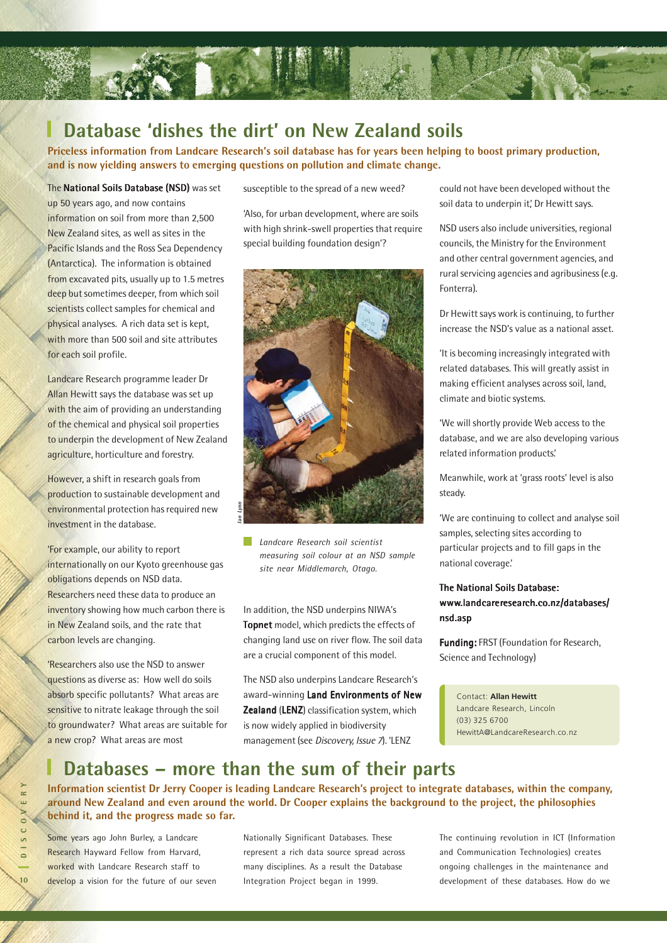

### **Database 'dishes the dirt' on New Zealand soils**

**Priceless information from Landcare Research's soil database has for years been helping to boost primary production, and is now yielding answers to emerging questions on pollution and climate change.**

#### The National Soils Database (NSD) was set

up 50 years ago, and now contains information on soil from more than 2,500 New Zealand sites, as well as sites in the Pacific Islands and the Ross Sea Dependency (Antarctica). The information is obtained from excavated pits, usually up to 1.5 metres deep but sometimes deeper, from which soil scientists collect samples for chemical and physical analyses. A rich data set is kept, with more than 500 soil and site attributes for each soil profile.

Landcare Research programme leader Dr Allan Hewitt says the database was set up with the aim of providing an understanding of the chemical and physical soil properties to underpin the development of New Zealand agriculture, horticulture and forestry.

However, a shift in research goals from production to sustainable development and environmental protection has required new investment in the database.

'For example, our ability to report internationally on our Kyoto greenhouse gas obligations depends on NSD data. Researchers need these data to produce an inventory showing how much carbon there is in New Zealand soils, and the rate that carbon levels are changing.

'Researchers also use the NSD to answer questions as diverse as: How well do soils absorb specific pollutants? What areas are sensitive to nitrate leakage through the soil to groundwater? What areas are suitable for a new crop? What areas are most

susceptible to the spread of a new weed?

'Also, for urban development, where are soils with high shrink-swell properties that require special building foundation design'?



*Landcare Research soil scientist measuring soil colour at an NSD sample site near Middlemarch, Otago.*

In addition, the NSD underpins NIWA's **Topnet** model, which predicts the effects of changing land use on river flow. The soil data are a crucial component of this model.

The NSD also underpins Landcare Research's award-winning Land Environments of New Zealand (LENZ) classification system, which is now widely applied in biodiversity management (see Discovery, Issue 7). 'LENZ

could not have been developed without the soil data to underpin it,' Dr Hewitt says.

NSD users also include universities, regional councils, the Ministry for the Environment and other central government agencies, and rural servicing agencies and agribusiness (e.g. Fonterra).

Dr Hewitt says work is continuing, to further increase the NSD's value as a national asset.

'It is becoming increasingly integrated with related databases. This will greatly assist in making efficient analyses across soil, land, climate and biotic systems.

'We will shortly provide Web access to the database, and we are also developing various related information products.'

Meanwhile, work at 'grass roots' level is also steady.

'We are continuing to collect and analyse soil samples, selecting sites according to particular projects and to fill gaps in the national coverage.'

### The National Soils Database: www.landcareresearch.co.nz/databases/ nsd.asp

Funding: FRST (Foundation for Research, Science and Technology)

Contact: **Allan Hewitt** Landcare Research, Lincoln (03) 325 6700 HewittA@LandcareResearch.co.nz

### **Databases – more than the sum of their parts**

**Information scientist Dr Jerry Cooper is leading Landcare Research's project to integrate databases, within the company, around New Zealand and even around the world. Dr Cooper explains the background to the project, the philosophies behind it, and the progress made so far.**

Some years ago John Burley, a Landcare Research Hayward Fellow from Harvard, worked with Landcare Research staff to develop a vision for the future of our seven Nationally Significant Databases. These represent a rich data source spread across many disciplines. As a result the Database Integration Project began in 1999.

The continuing revolution in ICT (Information and Communication Technologies) creates ongoing challenges in the maintenance and development of these databases. How do we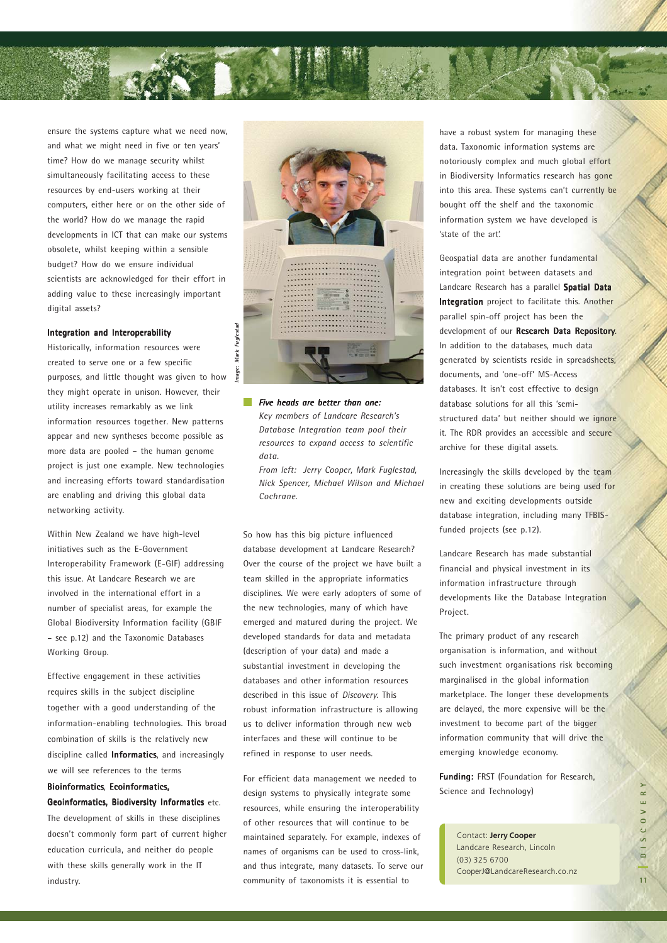

ensure the systems capture what we need now, and what we might need in five or ten years' time? How do we manage security whilst simultaneously facilitating access to these resources by end-users working at their computers, either here or on the other side of the world? How do we manage the rapid developments in ICT that can make our systems obsolete, whilst keeping within a sensible budget? How do we ensure individual scientists are acknowledged for their effort in adding value to these increasingly important digital assets?

#### Integration and Interoperability

Historically, information resources were created to serve one or a few specific purposes, and little thought was given to how they might operate in unison. However, their utility increases remarkably as we link information resources together. New patterns appear and new syntheses become possible as more data are pooled – the human genome project is just one example. New technologies and increasing efforts toward standardisation are enabling and driving this global data networking activity.

Within New Zealand we have high-level initiatives such as the E-Government Interoperability Framework (E-GIF) addressing this issue. At Landcare Research we are involved in the international effort in a number of specialist areas, for example the Global Biodiversity Information facility (GBIF – see p.12) and the Taxonomic Databases Working Group.

Effective engagement in these activities requires skills in the subject discipline together with a good understanding of the information-enabling technologies. This broad combination of skills is the relatively new discipline called **Informatics**, and increasingly we will see references to the terms

### Bioinformatics, Ecoinformatics,

Geoinformatics, Biodiversity Informatics etc. The development of skills in these disciplines doesn't commonly form part of current higher education curricula, and neither do people with these skills generally work in the IT industry.



*Five heads are better than one: heads are better than one: Key members of Landcare Research's Database Integration team pool their resources to expand access to scientific data.*

*From left: Jerry Cooper, Mark Fuglestad, Nick Spencer, Michael Wilson and Michael Cochrane.*

So how has this big picture influenced database development at Landcare Research? Over the course of the project we have built a team skilled in the appropriate informatics disciplines. We were early adopters of some of the new technologies, many of which have emerged and matured during the project. We developed standards for data and metadata (description of your data) and made a substantial investment in developing the databases and other information resources described in this issue of *Discovery*. This robust information infrastructure is allowing us to deliver information through new web interfaces and these will continue to be refined in response to user needs.

For efficient data management we needed to design systems to physically integrate some resources, while ensuring the interoperability of other resources that will continue to be maintained separately. For example, indexes of names of organisms can be used to cross-link, and thus integrate, many datasets. To serve our community of taxonomists it is essential to

have a robust system for managing these data. Taxonomic information systems are notoriously complex and much global effort in Biodiversity Informatics research has gone into this area. These systems can't currently be bought off the shelf and the taxonomic information system we have developed is 'state of the art'.

Geospatial data are another fundamental integration point between datasets and Landcare Research has a parallel Spatial Data Integration project to facilitate this. Another parallel spin-off project has been the development of our Research Data Repository. In addition to the databases, much data generated by scientists reside in spreadsheets, documents, and 'one-off' MS-Access databases. It isn't cost effective to design database solutions for all this 'semistructured data' but neither should we ignore it. The RDR provides an accessible and secure archive for these digital assets.

Increasingly the skills developed by the team in creating these solutions are being used for new and exciting developments outside database integration, including many TFBISfunded projects (see p.12).

Landcare Research has made substantial financial and physical investment in its information infrastructure through developments like the Database Integration Project.

The primary product of any research organisation is information, and without such investment organisations risk becoming marginalised in the global information marketplace. The longer these developments are delayed, the more expensive will be the investment to become part of the bigger information community that will drive the emerging knowledge economy.

Funding: FRST (Foundation for Research, Science and Technology)

Contact: **Jerry Cooper** Landcare Research, Lincoln (03) 325 6700 CooperJ@LandcareResearch.co.nz